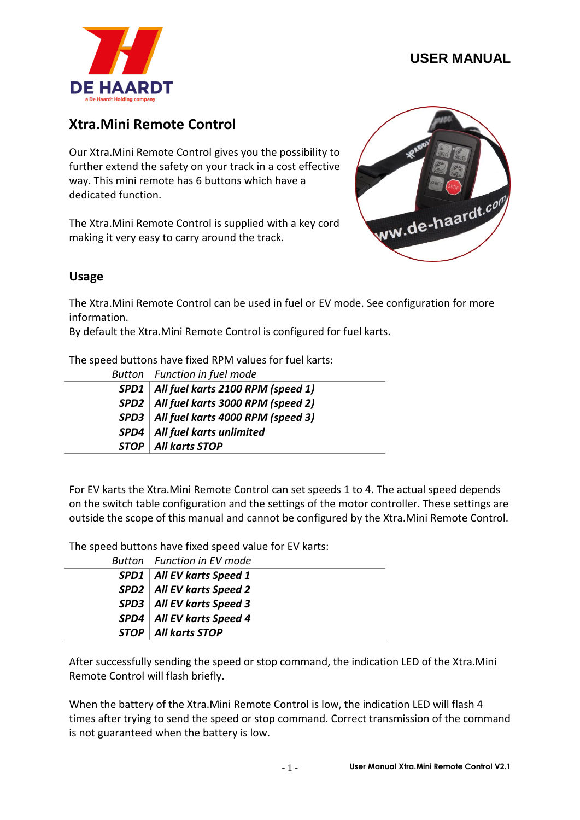

# **Xtra.Mini Remote Control**

Our Xtra.Mini Remote Control gives you the possibility to further extend the safety on your track in a cost effective way. This mini remote has 6 buttons which have a dedicated function.

The Xtra.Mini Remote Control is supplied with a key cord making it very easy to carry around the track.



#### **Usage**

The Xtra.Mini Remote Control can be used in fuel or EV mode. See configuration for more information.

By default the Xtra.Mini Remote Control is configured for fuel karts.

The speed buttons have fixed RPM values for fuel karts:

| Button Function in fuel mode             |
|------------------------------------------|
| SPD1   All fuel karts 2100 RPM (speed 1) |
| SPD2   All fuel karts 3000 RPM (speed 2) |
| SPD3   All fuel karts 4000 RPM (speed 3) |
| SPD4   All fuel karts unlimited          |
| <b>STOP</b>   All karts STOP             |

For EV karts the Xtra.Mini Remote Control can set speeds 1 to 4. The actual speed depends on the switch table configuration and the settings of the motor controller. These settings are outside the scope of this manual and cannot be configured by the Xtra.Mini Remote Control.

The speed buttons have fixed speed value for EV karts:

| Button Function in EV mode    |  |
|-------------------------------|--|
| $SPD1$   All EV karts Speed 1 |  |
| $SPD2$ All EV karts Speed 2   |  |
| SPD3   All EV karts Speed 3   |  |
| $SPD4$   All EV karts Speed 4 |  |
| <b>STOP</b>   All karts STOP  |  |

After successfully sending the speed or stop command, the indication LED of the Xtra.Mini Remote Control will flash briefly.

When the battery of the Xtra.Mini Remote Control is low, the indication LED will flash 4 times after trying to send the speed or stop command. Correct transmission of the command is not guaranteed when the battery is low.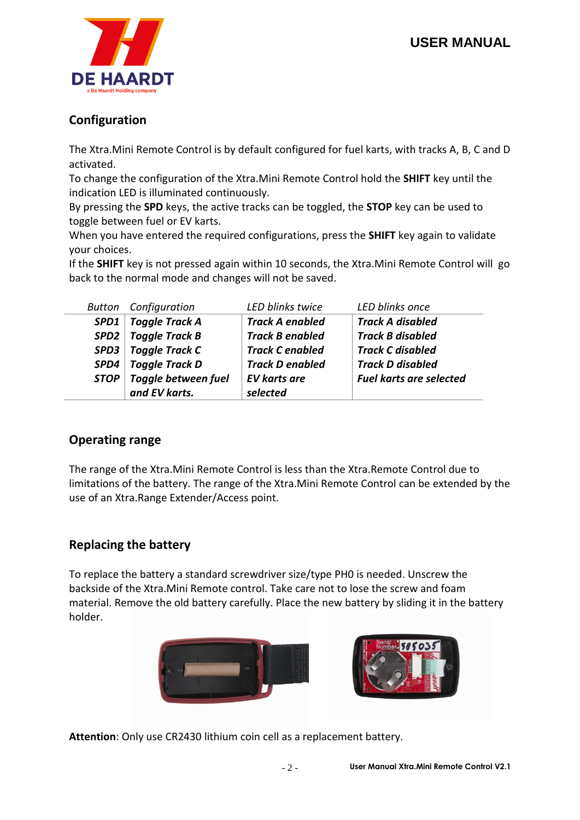

## **Configuration**

The Xtra.Mini Remote Control is by default configured for fuel karts, with tracks A, B, C and D activated.

To change the configuration of the Xtra.Mini Remote Control hold the **SHIFT** key until the indication LED is illuminated continuously.

By pressing the **SPD** keys, the active tracks can be toggled, the **STOP** key can be used to toggle between fuel or EV karts.

When you have entered the required configurations, press the **SHIFT** key again to validate your choices.

If the **SHIFT** key is not pressed again within 10 seconds, the Xtra.Mini Remote Control will go back to the normal mode and changes will not be saved.

|             | <b>Button</b> Configuration | LED blinks twice       | LED blinks once                |
|-------------|-----------------------------|------------------------|--------------------------------|
| SPD1        | <b>Toggle Track A</b>       | <b>Track A enabled</b> | <b>Track A disabled</b>        |
| SPD2        | <b>Toggle Track B</b>       | <b>Track B enabled</b> | <b>Track B disabled</b>        |
| SPD3        | <b>Toggle Track C</b>       | <b>Track C enabled</b> | <b>Track C disabled</b>        |
| SPD4        | <b>Toggle Track D</b>       | <b>Track D enabled</b> | <b>Track D disabled</b>        |
| <b>STOP</b> | <b>Toggle between fuel</b>  | <b>EV karts are</b>    | <b>Fuel karts are selected</b> |
|             | and EV karts.               | selected               |                                |

### **Operating range**

The range of the Xtra.Mini Remote Control is less than the Xtra.Remote Control due to limitations of the battery. The range of the Xtra.Mini Remote Control can be extended by the use of an Xtra.Range Extender/Access point.

### **Replacing the battery**

To replace the battery a standard screwdriver size/type PH0 is needed. Unscrew the backside of the Xtra.Mini Remote control. Take care not to lose the screw and foam material. Remove the old battery carefully. Place the new battery by sliding it in the battery holder.



**Attention**: Only use CR2430 lithium coin cell as a replacement battery.